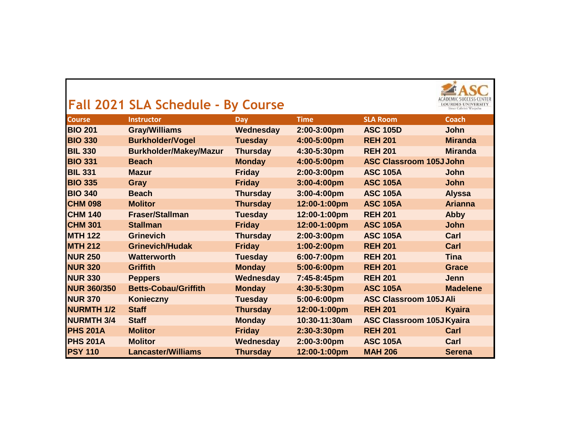|                    | Fall 2021 SLA Schedule - By Course |                 |               |                                  |                 |
|--------------------|------------------------------------|-----------------|---------------|----------------------------------|-----------------|
| <b>Course</b>      | <b>Instructor</b>                  | <b>Day</b>      | <b>Time</b>   | <b>SLA Room</b>                  | <b>Coach</b>    |
| <b>BIO 201</b>     | <b>Gray/Williams</b>               | Wednesday       | 2:00-3:00pm   | <b>ASC 105D</b>                  | <b>John</b>     |
| <b>BIO 330</b>     | <b>Burkholder/Vogel</b>            | <b>Tuesday</b>  | 4:00-5:00pm   | <b>REH 201</b>                   | <b>Miranda</b>  |
| <b>BIL 330</b>     | <b>Burkholder/Makey/Mazur</b>      | <b>Thursday</b> | 4:30-5:30pm   | <b>REH 201</b>                   | <b>Miranda</b>  |
| <b>BIO 331</b>     | <b>Beach</b>                       | <b>Monday</b>   | 4:00-5:00pm   | <b>ASC Classroom 105J John</b>   |                 |
| <b>BIL 331</b>     | <b>Mazur</b>                       | <b>Friday</b>   | 2:00-3:00pm   | <b>ASC 105A</b>                  | <b>John</b>     |
| <b>BIO 335</b>     | <b>Gray</b>                        | <b>Friday</b>   | 3:00-4:00pm   | <b>ASC 105A</b>                  | <b>John</b>     |
| <b>BIO 340</b>     | <b>Beach</b>                       | <b>Thursday</b> | 3:00-4:00pm   | <b>ASC 105A</b>                  | <b>Alyssa</b>   |
| <b>CHM 098</b>     | <b>Molitor</b>                     | <b>Thursday</b> | 12:00-1:00pm  | <b>ASC 105A</b>                  | <b>Arianna</b>  |
| <b>CHM 140</b>     | <b>Fraser/Stallman</b>             | <b>Tuesday</b>  | 12:00-1:00pm  | <b>REH 201</b>                   | <b>Abby</b>     |
| <b>CHM 301</b>     | <b>Stallman</b>                    | <b>Friday</b>   | 12:00-1:00pm  | <b>ASC 105A</b>                  | <b>John</b>     |
| <b>MTH 122</b>     | <b>Grinevich</b>                   | <b>Thursday</b> | 2:00-3:00pm   | <b>ASC 105A</b>                  | Carl            |
| <b>MTH 212</b>     | <b>Grinevich/Hudak</b>             | <b>Friday</b>   | 1:00-2:00pm   | <b>REH 201</b>                   | Carl            |
| <b>NUR 250</b>     | <b>Watterworth</b>                 | <b>Tuesday</b>  | 6:00-7:00pm   | <b>REH 201</b>                   | <b>Tina</b>     |
| <b>NUR 320</b>     | <b>Griffith</b>                    | <b>Monday</b>   | 5:00-6:00pm   | <b>REH 201</b>                   | <b>Grace</b>    |
| <b>NUR 330</b>     | <b>Peppers</b>                     | Wednesday       | 7:45-8:45pm   | <b>REH 201</b>                   | <b>Jenn</b>     |
| <b>NUR 360/350</b> | <b>Betts-Cobau/Griffith</b>        | <b>Monday</b>   | 4:30-5:30pm   | <b>ASC 105A</b>                  | <b>Madelene</b> |
| <b>NUR 370</b>     | Konieczny                          | <b>Tuesday</b>  | 5:00-6:00pm   | <b>ASC Classroom 105J Ali</b>    |                 |
| <b>NURMTH 1/2</b>  | <b>Staff</b>                       | <b>Thursday</b> | 12:00-1:00pm  | <b>REH 201</b>                   | <b>Kyaira</b>   |
| <b>NURMTH 3/4</b>  | <b>Staff</b>                       | <b>Monday</b>   | 10:30-11:30am | <b>ASC Classroom 105J Kyaira</b> |                 |
| <b>PHS 201A</b>    | <b>Molitor</b>                     | <b>Friday</b>   | 2:30-3:30pm   | <b>REH 201</b>                   | Carl            |
| <b>PHS 201A</b>    | <b>Molitor</b>                     | Wednesday       | 2:00-3:00pm   | <b>ASC 105A</b>                  | Carl            |
| <b>PSY 110</b>     | <b>Lancaster/Williams</b>          | <b>Thursday</b> | 12:00-1:00pm  | <b>MAH 206</b>                   | <b>Serena</b>   |